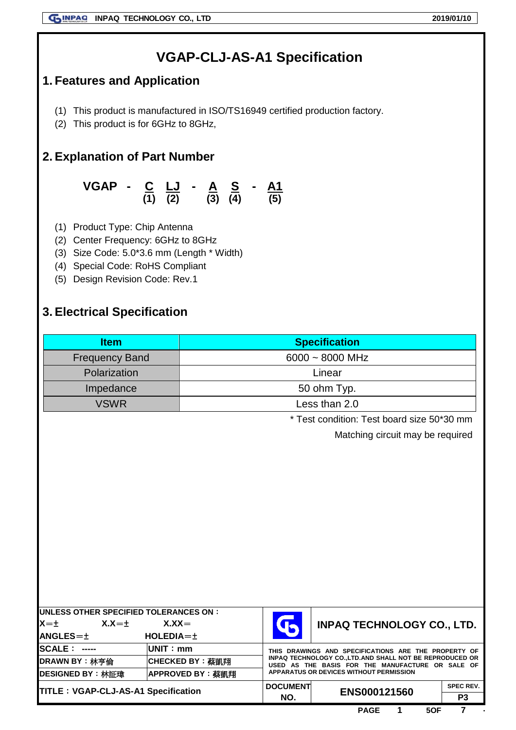# **VGAP-CLJ-AS-A1 Specification**

## **1. Features and Application**

- (1) This product is manufactured in ISO/TS16949 certified production factory.
- (2) This product is for 6GHz to 8GHz,

## **2. Explanation of Part Number**

**VGAP - C LJ - A S - A1 (1) (2) (3) (4) (5)**

- (1) Product Type: Chip Antenna
- (2) Center Frequency: 6GHz to 8GHz
- (3) Size Code: 5.0\*3.6 mm (Length \* Width)
- (4) Special Code: RoHS Compliant
- (5) Design Revision Code: Rev.1

## **3. Electrical Specification**

| <b>Item</b>                                | <b>Specification</b> |                                                                                                               |                                                      |                  |  |  |
|--------------------------------------------|----------------------|---------------------------------------------------------------------------------------------------------------|------------------------------------------------------|------------------|--|--|
| <b>Frequency Band</b>                      | $6000 - 8000$ MHz    |                                                                                                               |                                                      |                  |  |  |
| Polarization                               |                      | Linear                                                                                                        |                                                      |                  |  |  |
| Impedance                                  |                      |                                                                                                               | 50 ohm Typ.                                          |                  |  |  |
| <b>VSWR</b>                                |                      | Less than 2.0                                                                                                 |                                                      |                  |  |  |
|                                            |                      |                                                                                                               | * Test condition: Test board size 50*30 mm           |                  |  |  |
|                                            |                      |                                                                                                               | Matching circuit may be required                     |                  |  |  |
|                                            |                      |                                                                                                               |                                                      |                  |  |  |
|                                            |                      |                                                                                                               |                                                      |                  |  |  |
|                                            |                      |                                                                                                               |                                                      |                  |  |  |
|                                            |                      |                                                                                                               |                                                      |                  |  |  |
|                                            |                      |                                                                                                               |                                                      |                  |  |  |
|                                            |                      |                                                                                                               |                                                      |                  |  |  |
|                                            |                      |                                                                                                               |                                                      |                  |  |  |
|                                            |                      |                                                                                                               |                                                      |                  |  |  |
|                                            |                      |                                                                                                               |                                                      |                  |  |  |
|                                            |                      |                                                                                                               |                                                      |                  |  |  |
| UNLESS OTHER SPECIFIED TOLERANCES ON :     |                      |                                                                                                               |                                                      |                  |  |  |
| $X = \pm$<br>$X.X = \pm$                   | $X.X =$              | $\mathsf T$<br><b>INPAQ TECHNOLOGY CO., LTD.</b>                                                              |                                                      |                  |  |  |
| <b>ANGLES=±</b><br>HOLEDIA=±               |                      |                                                                                                               |                                                      |                  |  |  |
| <b>SCALE: -----</b><br>UNIT: mm            |                      |                                                                                                               | THIS DRAWINGS AND SPECIFICATIONS ARE THE PROPERTY OF |                  |  |  |
| <b>DRAWN BY: 林亨倫</b>                       | CHECKED BY: 蔡凱翔      | INPAQ TECHNOLOGY CO., LTD. AND SHALL NOT BE REPRODUCED OR<br>USED AS THE BASIS FOR THE MANUFACTURE OR SALE OF |                                                      |                  |  |  |
| DESIGNED BY: 林証瑋                           | APPROVED BY: 蔡凱翔     |                                                                                                               | <b>APPARATUS OR DEVICES WITHOUT PERMISSION</b>       |                  |  |  |
| <b>TITLE: VGAP-CLJ-AS-A1 Specification</b> |                      | <b>DOCUMENT</b>                                                                                               | ENS000121560                                         | <b>SPEC REV.</b> |  |  |
|                                            |                      | NO.                                                                                                           |                                                      | P <sub>3</sub>   |  |  |
|                                            |                      |                                                                                                               | 5OF<br><b>PAGE</b>                                   | 7                |  |  |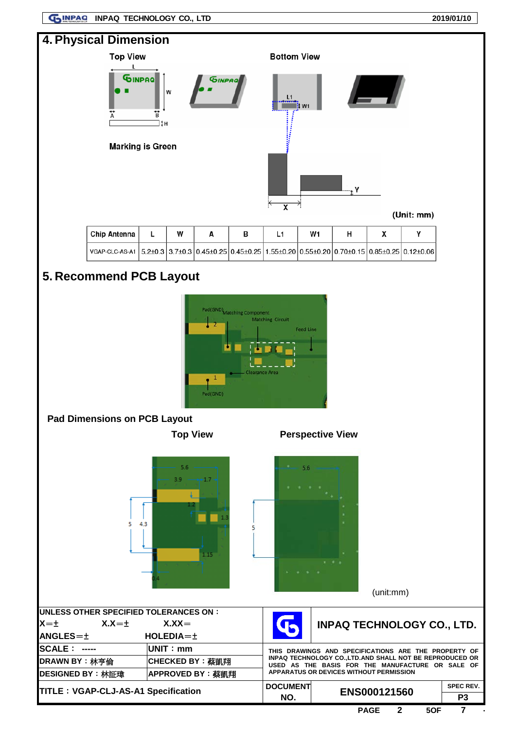**GUINPAQ INPAQ TECHNOLOGY CO., LTD** 2019/01/10



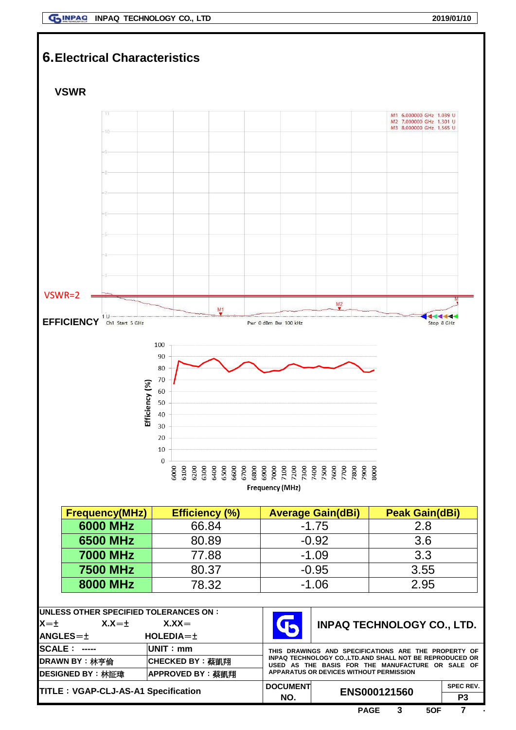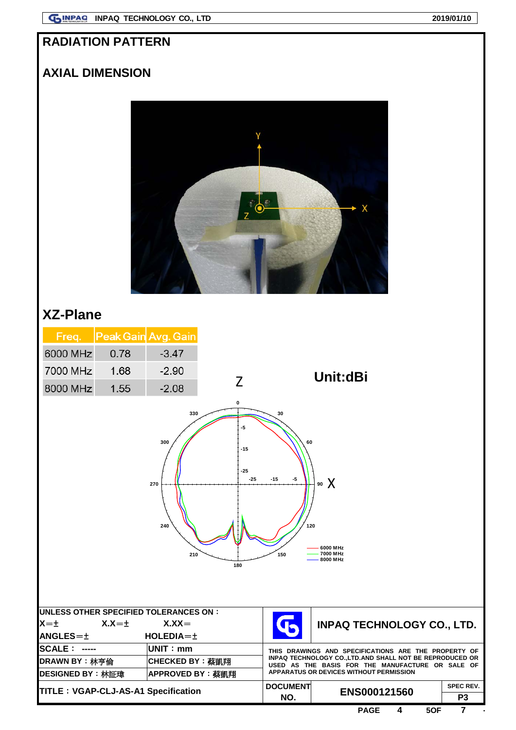## **RADIATION PATTERN**

## **AXIAL DIMENSION**



# **XZ-Plane**

| Freq.                                                                                                                                                              | Peak Gain Avg. Gain |                                                      |              |                                                                                                                                                         |                                   |  |  |  |
|--------------------------------------------------------------------------------------------------------------------------------------------------------------------|---------------------|------------------------------------------------------|--------------|---------------------------------------------------------------------------------------------------------------------------------------------------------|-----------------------------------|--|--|--|
| 6000 MHz                                                                                                                                                           | 0.78                | $-3.47$                                              |              |                                                                                                                                                         |                                   |  |  |  |
| 7000 MHz                                                                                                                                                           | 1.68                | $-2.90$                                              |              | Unit:dBi                                                                                                                                                |                                   |  |  |  |
| 8000 MHz                                                                                                                                                           | 1.55                | $-2.08$                                              | Z            |                                                                                                                                                         |                                   |  |  |  |
| 0<br>330<br>30<br>-5<br>300<br>60<br>$-15$<br>-25<br>⊝25<br>$-15$<br>-5<br>90 $\chi$<br>270<br>240<br>120<br>6000 MHz<br>7000 MHz<br>210<br>150<br>8000 MHz<br>180 |                     |                                                      |              |                                                                                                                                                         |                                   |  |  |  |
| <b>UNLESS OTHER SPECIFIED TOLERANCES ON:</b><br>$X = t$                                                                                                            | $X.X = \pm$         | $X.XX =$                                             |              |                                                                                                                                                         | <b>INPAQ TECHNOLOGY CO., LTD.</b> |  |  |  |
| <b>ANGLES=±</b>                                                                                                                                                    |                     | HOLEDIA=±                                            |              |                                                                                                                                                         |                                   |  |  |  |
| <b>SCALE: -----</b><br>UNIT: mm                                                                                                                                    |                     | THIS DRAWINGS AND SPECIFICATIONS ARE THE PROPERTY OF |              |                                                                                                                                                         |                                   |  |  |  |
| <b>DRAWN BY</b> : 林亨倫<br>DESIGNED BY: 林証瑋                                                                                                                          |                     | CHECKED BY: 蔡凱翔<br>APPROVED BY: 蔡凱翔                  |              | INPAQ TECHNOLOGY CO., LTD.AND SHALL NOT BE REPRODUCED OR<br>USED AS THE BASIS FOR THE MANUFACTURE OR SALE OF<br>APPARATUS OR DEVICES WITHOUT PERMISSION |                                   |  |  |  |
| TITLE : VGAP-CLJ-AS-A1 Specification                                                                                                                               |                     | <b>DOCUMENT</b><br>NO.                               | ENS000121560 | <b>SPEC REV.</b><br>P <sub>3</sub>                                                                                                                      |                                   |  |  |  |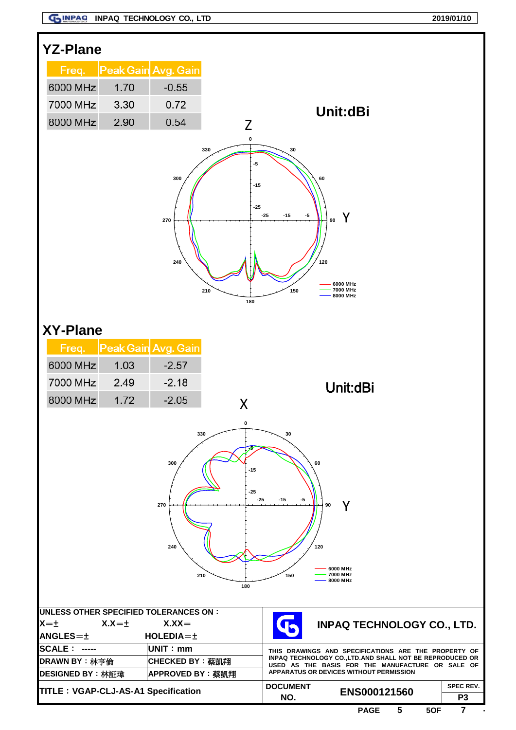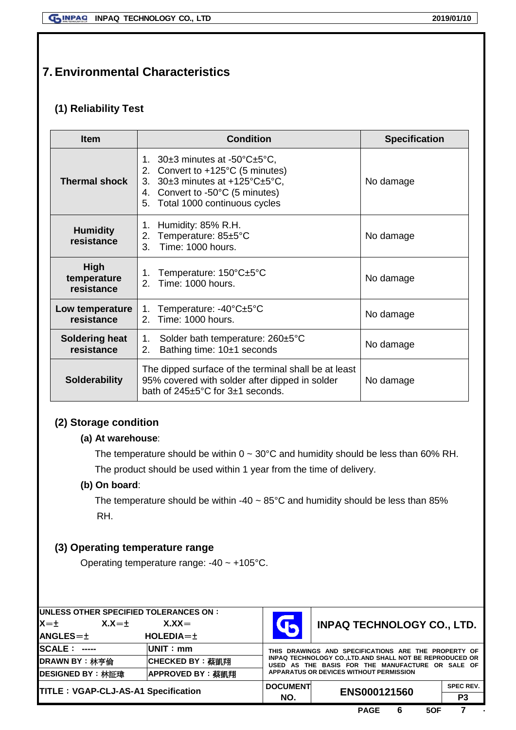## **7. Environmental Characteristics**

## **(1) Reliability Test**

| <b>Item</b>                         | <b>Condition</b>                                                                                                                                                                                            | <b>Specification</b> |  |
|-------------------------------------|-------------------------------------------------------------------------------------------------------------------------------------------------------------------------------------------------------------|----------------------|--|
| <b>Thermal shock</b>                | 1. $30\pm 3$ minutes at -50 $\degree$ C $\pm$ 5 $\degree$ C,<br>2. Convert to +125°C (5 minutes)<br>30±3 minutes at +125°C±5°C,<br>3.<br>4. Convert to -50°C (5 minutes)<br>5. Total 1000 continuous cycles | No damage            |  |
| <b>Humidity</b><br>resistance       | Humidity: 85% R.H.<br>1.<br>Temperature: 85±5°C<br>2.<br>Time: 1000 hours.<br>$\mathcal{S}_{\mathcal{S}}$                                                                                                   |                      |  |
| High<br>temperature<br>resistance   | Temperature: 150°C±5°C<br>1.<br>2. Time: 1000 hours.                                                                                                                                                        |                      |  |
| Low temperature<br>resistance       | Temperature: -40°C±5°C<br>1.<br>Time: 1000 hours.<br>$\mathcal{P}_{\mathcal{C}}$                                                                                                                            |                      |  |
| <b>Soldering heat</b><br>resistance | Solder bath temperature: 260±5°C<br>1.<br>Bathing time: 10±1 seconds<br>2.                                                                                                                                  |                      |  |
| <b>Solderability</b>                | The dipped surface of the terminal shall be at least<br>95% covered with solder after dipped in solder<br>bath of $245 \pm 5^{\circ}$ C for $3 \pm 1$ seconds.                                              | No damage            |  |

## **(2) Storage condition**

#### **(a) At warehouse**:

The temperature should be within  $0 \sim 30^{\circ}$ C and humidity should be less than 60% RH.

The product should be used within 1 year from the time of delivery.

#### **(b) On board**:

The temperature should be within -40  $\sim$  85°C and humidity should be less than 85% RH.

## **(3) Operating temperature range**

Operating temperature range: -40 ~ +105°C.

| UNLESS OTHER SPECIFIED TOLERANCES ON :<br>$X = +$<br>$X.X = +$ | $X.XX =$         |                                                                                                               | <b>INPAQ TECHNOLOGY CO., LTD.</b> |                  |
|----------------------------------------------------------------|------------------|---------------------------------------------------------------------------------------------------------------|-----------------------------------|------------------|
| <b>ANGLES=±</b>                                                | $HOLEDIA = \pm$  |                                                                                                               |                                   |                  |
| <b>SCALE: -----</b>                                            | <b>IUNIT: mm</b> | THIS DRAWINGS AND SPECIFICATIONS ARE THE PROPERTY OF                                                          |                                   |                  |
| DRAWN BY: 林亭倫                                                  | CHECKED BY: 蔡凱翔  | INPAQ TECHNOLOGY CO., LTD, AND SHALL NOT BE REPRODUCED OR<br>USED AS THE BASIS FOR THE MANUFACTURE OR SALE OF |                                   |                  |
| DESIGNED BY: 林証瑋                                               | APPROVED BY: 蔡凱翔 | <b>APPARATUS OR DEVICES WITHOUT PERMISSION</b>                                                                |                                   |                  |
| <b>TITLE: VGAP-CLJ-AS-A1 Specification</b>                     |                  | <b>DOCUMENT</b>                                                                                               | ENS000121560                      | <b>SPEC REV.</b> |
|                                                                |                  | NO.                                                                                                           |                                   | P3               |
|                                                                |                  |                                                                                                               |                                   |                  |